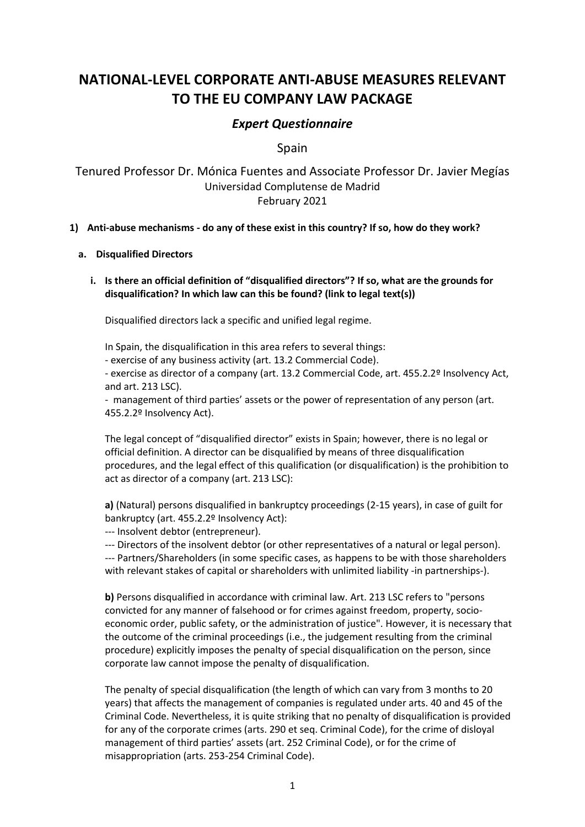# **NATIONAL-LEVEL CORPORATE ANTI-ABUSE MEASURES RELEVANT TO THE EU COMPANY LAW PACKAGE**

# *Expert Questionnaire*

Spain

Tenured Professor Dr. Mónica Fuentes and Associate Professor Dr. Javier Megías Universidad Complutense de Madrid February 2021

## **1) Anti-abuse mechanisms - do any of these exist in this country? If so, how do they work?**

#### **a. Disqualified Directors**

**i. Is there an official definition of "disqualified directors"? If so, what are the grounds for disqualification? In which law can this be found? (link to legal text(s))**

Disqualified directors lack a specific and unified legal regime.

In Spain, the disqualification in this area refers to several things:

- exercise of any business activity (art. 13.2 Commercial Code).

- exercise as director of a company (art. 13.2 Commercial Code, art. 455.2.2º Insolvency Act, and art. 213 LSC).

- management of third parties' assets or the power of representation of any person (art. 455.2.2º Insolvency Act).

The legal concept of "disqualified director" exists in Spain; however, there is no legal or official definition. A director can be disqualified by means of three disqualification procedures, and the legal effect of this qualification (or disqualification) is the prohibition to act as director of a company (art. 213 LSC):

**a)** (Natural) persons disqualified in bankruptcy proceedings (2-15 years), in case of guilt for bankruptcy (art. 455.2.2º Insolvency Act):

--- Insolvent debtor (entrepreneur).

--- Directors of the insolvent debtor (or other representatives of a natural or legal person). --- Partners/Shareholders (in some specific cases, as happens to be with those shareholders with relevant stakes of capital or shareholders with unlimited liability -in partnerships-).

**b)** Persons disqualified in accordance with criminal law. Art. 213 LSC refers to "persons convicted for any manner of falsehood or for crimes against freedom, property, socioeconomic order, public safety, or the administration of justice". However, it is necessary that the outcome of the criminal proceedings (i.e., the judgement resulting from the criminal procedure) explicitly imposes the penalty of special disqualification on the person, since corporate law cannot impose the penalty of disqualification.

The penalty of special disqualification (the length of which can vary from 3 months to 20 years) that affects the management of companies is regulated under arts. 40 and 45 of the Criminal Code. Nevertheless, it is quite striking that no penalty of disqualification is provided for any of the corporate crimes (arts. 290 et seq. Criminal Code), for the crime of disloyal management of third parties' assets (art. 252 Criminal Code), or for the crime of misappropriation (arts. 253-254 Criminal Code).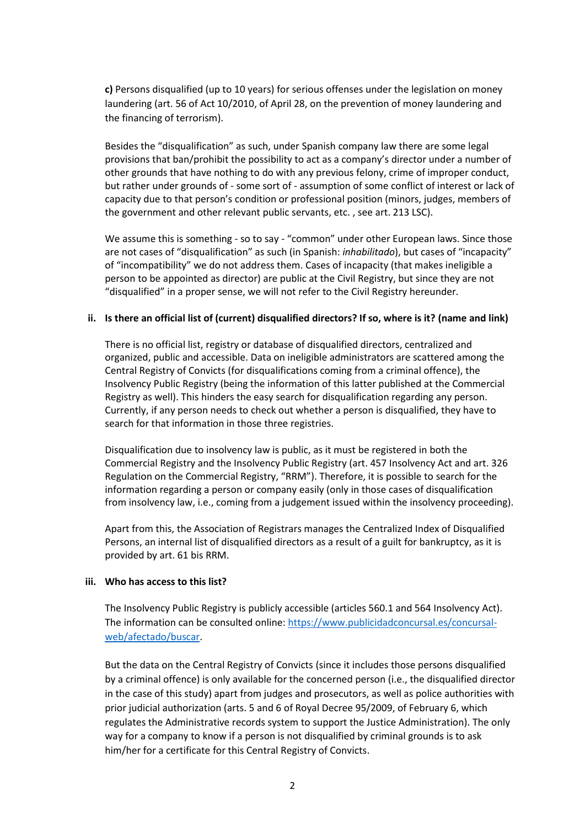**c)** Persons disqualified (up to 10 years) for serious offenses under the legislation on money laundering (art. 56 of Act 10/2010, of April 28, on the prevention of money laundering and the financing of terrorism).

Besides the "disqualification" as such, under Spanish company law there are some legal provisions that ban/prohibit the possibility to act as a company's director under a number of other grounds that have nothing to do with any previous felony, crime of improper conduct, but rather under grounds of - some sort of - assumption of some conflict of interest or lack of capacity due to that person's condition or professional position (minors, judges, members of the government and other relevant public servants, etc. , see art. 213 LSC).

We assume this is something - so to say - "common" under other European laws. Since those are not cases of "disqualification" as such (in Spanish: *inhabilitado*), but cases of "incapacity" of "incompatibility" we do not address them. Cases of incapacity (that makes ineligible a person to be appointed as director) are public at the Civil Registry, but since they are not "disqualified" in a proper sense, we will not refer to the Civil Registry hereunder.

#### **ii. Is there an official list of (current) disqualified directors? If so, where is it? (name and link)**

There is no official list, registry or database of disqualified directors, centralized and organized, public and accessible. Data on ineligible administrators are scattered among the Central Registry of Convicts (for disqualifications coming from a criminal offence), the Insolvency Public Registry (being the information of this latter published at the Commercial Registry as well). This hinders the easy search for disqualification regarding any person. Currently, if any person needs to check out whether a person is disqualified, they have to search for that information in those three registries.

Disqualification due to insolvency law is public, as it must be registered in both the Commercial Registry and the Insolvency Public Registry (art. 457 Insolvency Act and art. 326 Regulation on the Commercial Registry, "RRM"). Therefore, it is possible to search for the information regarding a person or company easily (only in those cases of disqualification from insolvency law, i.e., coming from a judgement issued within the insolvency proceeding).

Apart from this, the Association of Registrars manages the Centralized Index of Disqualified Persons, an internal list of disqualified directors as a result of a guilt for bankruptcy, as it is provided by art. 61 bis RRM.

#### **iii. Who has access to this list?**

The Insolvency Public Registry is publicly accessible (articles 560.1 and 564 Insolvency Act). The information can be consulted online: [https://www.publicidadconcursal.es/concursal](https://www.publicidadconcursal.es/concursal-web/afectado/buscar)[web/afectado/buscar.](https://www.publicidadconcursal.es/concursal-web/afectado/buscar)

But the data on the Central Registry of Convicts (since it includes those persons disqualified by a criminal offence) is only available for the concerned person (i.e., the disqualified director in the case of this study) apart from judges and prosecutors, as well as police authorities with prior judicial authorization (arts. 5 and 6 of Royal Decree 95/2009, of February 6, which regulates the Administrative records system to support the Justice Administration). The only way for a company to know if a person is not disqualified by criminal grounds is to ask him/her for a certificate for this Central Registry of Convicts.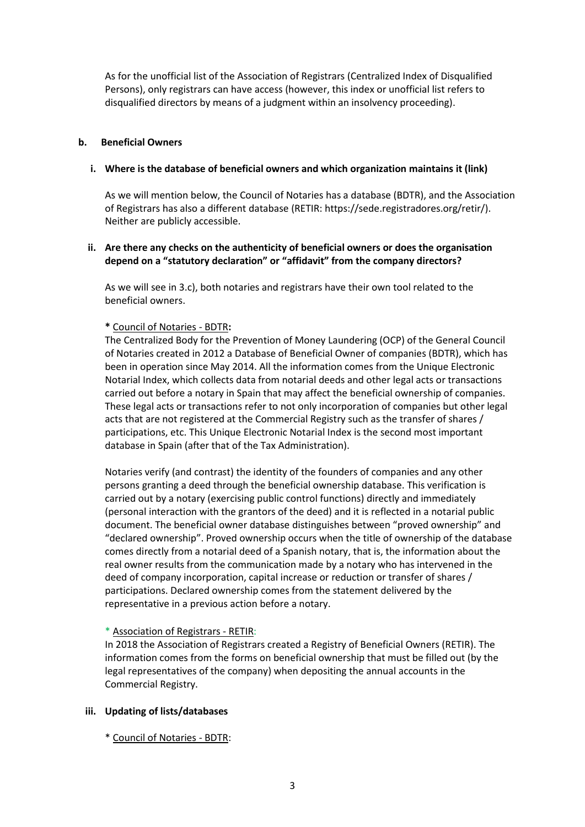As for the unofficial list of the Association of Registrars (Centralized Index of Disqualified Persons), only registrars can have access (however, this index or unofficial list refers to disqualified directors by means of a judgment within an insolvency proceeding).

#### **b. Beneficial Owners**

#### **i. Where is the database of beneficial owners and which organization maintains it (link)**

As we will mention below, the Council of Notaries has a database (BDTR), and the Association of Registrars has also a different database (RETIR: https://sede.registradores.org/retir/). Neither are publicly accessible.

## **ii. Are there any checks on the authenticity of beneficial owners or does the organisation depend on a "statutory declaration" or "affidavit" from the company directors?**

As we will see in 3.c), both notaries and registrars have their own tool related to the beneficial owners.

#### **\*** Council of Notaries - BDTR**:**

The Centralized Body for the Prevention of Money Laundering (OCP) of the General Council of Notaries created in 2012 a Database of Beneficial Owner of companies (BDTR), which has been in operation since May 2014. All the information comes from the Unique Electronic Notarial Index, which collects data from notarial deeds and other legal acts or transactions carried out before a notary in Spain that may affect the beneficial ownership of companies. These legal acts or transactions refer to not only incorporation of companies but other legal acts that are not registered at the Commercial Registry such as the transfer of shares / participations, etc. This Unique Electronic Notarial Index is the second most important database in Spain (after that of the Tax Administration).

Notaries verify (and contrast) the identity of the founders of companies and any other persons granting a deed through the beneficial ownership database. This verification is carried out by a notary (exercising public control functions) directly and immediately (personal interaction with the grantors of the deed) and it is reflected in a notarial public document. The beneficial owner database distinguishes between "proved ownership" and "declared ownership". Proved ownership occurs when the title of ownership of the database comes directly from a notarial deed of a Spanish notary, that is, the information about the real owner results from the communication made by a notary who has intervened in the deed of company incorporation, capital increase or reduction or transfer of shares / participations. Declared ownership comes from the statement delivered by the representative in a previous action before a notary.

#### \* Association of Registrars - RETIR:

In 2018 the Association of Registrars created a Registry of Beneficial Owners (RETIR). The information comes from the forms on beneficial ownership that must be filled out (by the legal representatives of the company) when depositing the annual accounts in the Commercial Registry.

#### **iii. Updating of lists/databases**

\* Council of Notaries - BDTR: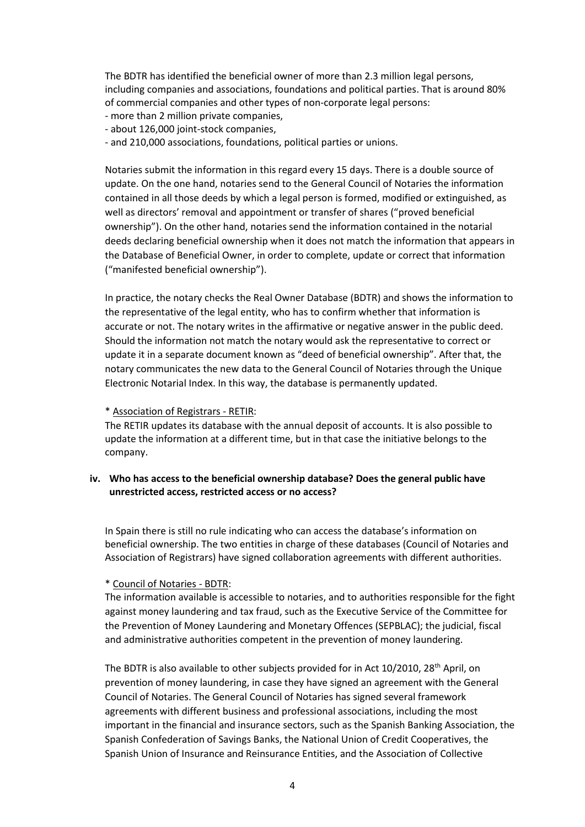The BDTR has identified the beneficial owner of more than 2.3 million legal persons, including companies and associations, foundations and political parties. That is around 80% of commercial companies and other types of non-corporate legal persons:

- more than 2 million private companies,
- about 126,000 joint-stock companies,
- and 210,000 associations, foundations, political parties or unions.

Notaries submit the information in this regard every 15 days. There is a double source of update. On the one hand, notaries send to the General Council of Notaries the information contained in all those deeds by which a legal person is formed, modified or extinguished, as well as directors' removal and appointment or transfer of shares ("proved beneficial ownership"). On the other hand, notaries send the information contained in the notarial deeds declaring beneficial ownership when it does not match the information that appears in the Database of Beneficial Owner, in order to complete, update or correct that information ("manifested beneficial ownership").

In practice, the notary checks the Real Owner Database (BDTR) and shows the information to the representative of the legal entity, who has to confirm whether that information is accurate or not. The notary writes in the affirmative or negative answer in the public deed. Should the information not match the notary would ask the representative to correct or update it in a separate document known as "deed of beneficial ownership". After that, the notary communicates the new data to the General Council of Notaries through the Unique Electronic Notarial Index. In this way, the database is permanently updated.

#### \* Association of Registrars - RETIR:

The RETIR updates its database with the annual deposit of accounts. It is also possible to update the information at a different time, but in that case the initiative belongs to the company.

## **iv. Who has access to the beneficial ownership database? Does the general public have unrestricted access, restricted access or no access?**

In Spain there is still no rule indicating who can access the database's information on beneficial ownership. The two entities in charge of these databases (Council of Notaries and Association of Registrars) have signed collaboration agreements with different authorities.

#### \* Council of Notaries - BDTR:

The information available is accessible to notaries, and to authorities responsible for the fight against money laundering and tax fraud, such as the Executive Service of the Committee for the Prevention of Money Laundering and Monetary Offences (SEPBLAC); the judicial, fiscal and administrative authorities competent in the prevention of money laundering.

The BDTR is also available to other subjects provided for in Act  $10/2010$ ,  $28<sup>th</sup>$  April, on prevention of money laundering, in case they have signed an agreement with the General Council of Notaries. The General Council of Notaries has signed several framework agreements with different business and professional associations, including the most important in the financial and insurance sectors, such as the Spanish Banking Association, the Spanish Confederation of Savings Banks, the National Union of Credit Cooperatives, the Spanish Union of Insurance and Reinsurance Entities, and the Association of Collective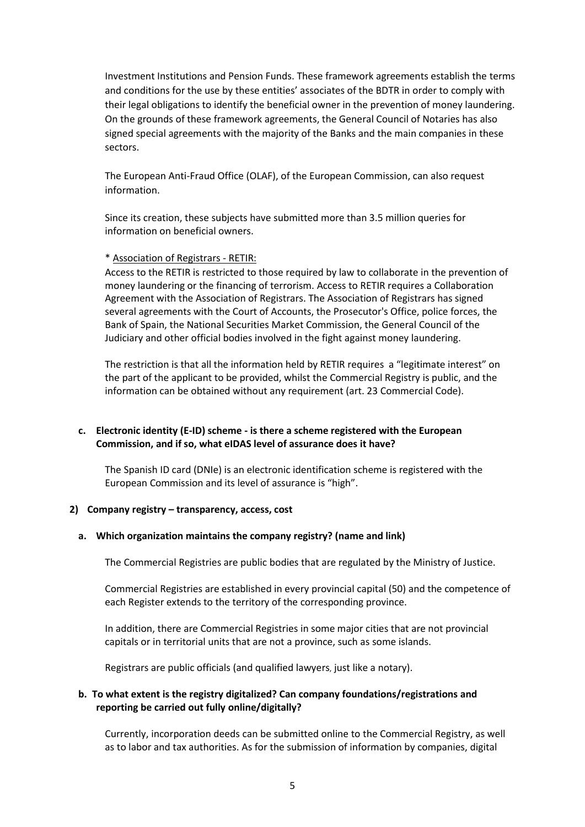Investment Institutions and Pension Funds. These framework agreements establish the terms and conditions for the use by these entities' associates of the BDTR in order to comply with their legal obligations to identify the beneficial owner in the prevention of money laundering. On the grounds of these framework agreements, the General Council of Notaries has also signed special agreements with the majority of the Banks and the main companies in these sectors.

The European Anti-Fraud Office (OLAF), of the European Commission, can also request information.

Since its creation, these subjects have submitted more than 3.5 million queries for information on beneficial owners.

#### \* Association of Registrars - RETIR:

Access to the RETIR is restricted to those required by law to collaborate in the prevention of money laundering or the financing of terrorism. Access to RETIR requires a Collaboration Agreement with the Association of Registrars. The Association of Registrars has signed several agreements with the Court of Accounts, the Prosecutor's Office, police forces, the Bank of Spain, the National Securities Market Commission, the General Council of the Judiciary and other official bodies involved in the fight against money laundering.

The restriction is that all the information held by RETIR requires a "legitimate interest" on the part of the applicant to be provided, whilst the Commercial Registry is public, and the information can be obtained without any requirement (art. 23 Commercial Code).

## **c. Electronic identity (E-ID) scheme - is there a scheme registered with the European Commission, and if so, what eIDAS level of assurance does it have?**

The Spanish ID card (DNIe) is an electronic identification scheme is registered with the European Commission and its level of assurance is "high".

#### **2) Company registry – transparency, access, cost**

#### **a. Which organization maintains the company registry? (name and link)**

The Commercial Registries are public bodies that are regulated by the Ministry of Justice.

Commercial Registries are established in every provincial capital (50) and the competence of each Register extends to the territory of the corresponding province.

In addition, there are Commercial Registries in some major cities that are not provincial capitals or in territorial units that are not a province, such as some islands.

Registrars are public officials (and qualified lawyers, just like a notary).

#### **b. To what extent is the registry digitalized? Can company foundations/registrations and reporting be carried out fully online/digitally?**

Currently, incorporation deeds can be submitted online to the Commercial Registry, as well as to labor and tax authorities. As for the submission of information by companies, digital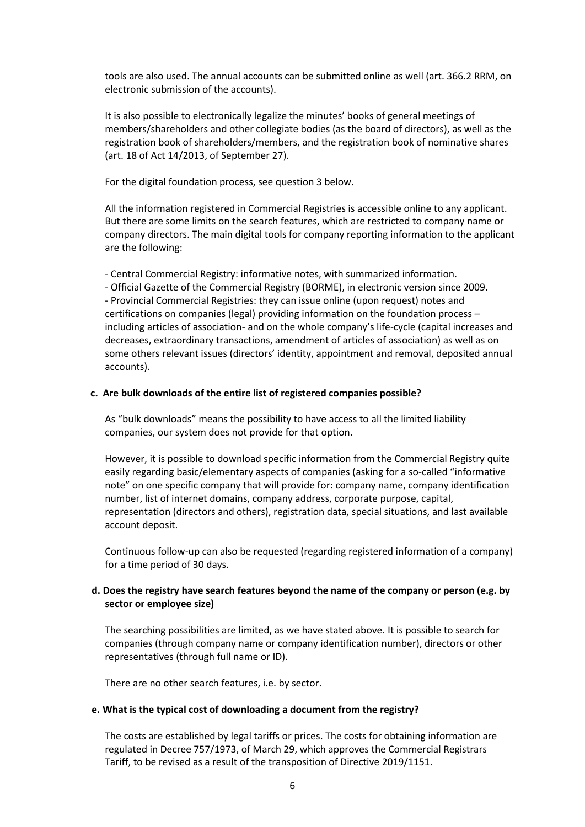tools are also used. The annual accounts can be submitted online as well (art. 366.2 RRM, on electronic submission of the accounts).

It is also possible to electronically legalize the minutes' books of general meetings of members/shareholders and other collegiate bodies (as the board of directors), as well as the registration book of shareholders/members, and the registration book of nominative shares (art. 18 of Act 14/2013, of September 27).

For the digital foundation process, see question 3 below.

All the information registered in Commercial Registries is accessible online to any applicant. But there are some limits on the search features, which are restricted to company name or company directors. The main digital tools for company reporting information to the applicant are the following:

- Central Commercial Registry: informative notes, with summarized information.

- Official Gazette of the Commercial Registry (BORME), in electronic version since 2009. - Provincial Commercial Registries: they can issue online (upon request) notes and certifications on companies (legal) providing information on the foundation process – including articles of association- and on the whole company's life-cycle (capital increases and decreases, extraordinary transactions, amendment of articles of association) as well as on some others relevant issues (directors' identity, appointment and removal, deposited annual accounts).

#### **c. Are bulk downloads of the entire list of registered companies possible?**

As "bulk downloads" means the possibility to have access to all the limited liability companies, our system does not provide for that option.

However, it is possible to download specific information from the Commercial Registry quite easily regarding basic/elementary aspects of companies (asking for a so-called "informative note" on one specific company that will provide for: company name, company identification number, list of internet domains, company address, corporate purpose, capital, representation (directors and others), registration data, special situations, and last available account deposit.

Continuous follow-up can also be requested (regarding registered information of a company) for a time period of 30 days.

## **d. Does the registry have search features beyond the name of the company or person (e.g. by sector or employee size)**

The searching possibilities are limited, as we have stated above. It is possible to search for companies (through company name or company identification number), directors or other representatives (through full name or ID).

There are no other search features, i.e. by sector.

#### **e. What is the typical cost of downloading a document from the registry?**

The costs are established by legal tariffs or prices. The costs for obtaining information are regulated in Decree 757/1973, of March 29, which approves the Commercial Registrars Tariff, to be revised as a result of the transposition of Directive 2019/1151.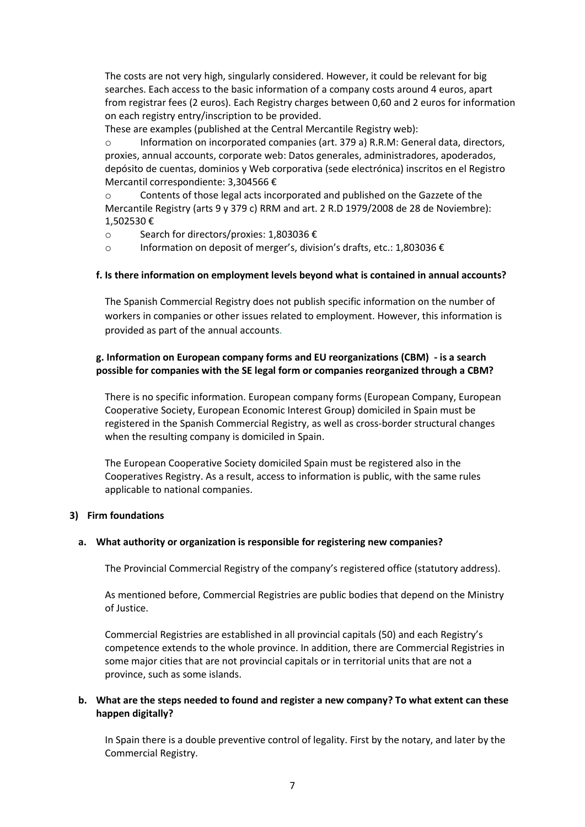The costs are not very high, singularly considered. However, it could be relevant for big searches. Each access to the basic information of a company costs around 4 euros, apart from registrar fees (2 euros). Each Registry charges between 0,60 and 2 euros for information on each registry entry/inscription to be provided.

These are examples (published at the Central Mercantile Registry web):

Information on incorporated companies (art. 379 a) R.R.M: General data, directors, proxies, annual accounts, corporate web: Datos generales, administradores, apoderados, depósito de cuentas, dominios y Web corporativa (sede electrónica) inscritos en el Registro Mercantil correspondiente: 3,304566 €

o Contents of those legal acts incorporated and published on the Gazzete of the Mercantile Registry (arts 9 y 379 c) RRM and art. 2 R.D 1979/2008 de 28 de Noviembre): 1,502530 €

- o Search for directors/proxies: 1,803036 €
- o Information on deposit of merger's, division's drafts, etc.: 1,803036 €

#### **f. Is there information on employment levels beyond what is contained in annual accounts?**

The Spanish Commercial Registry does not publish specific information on the number of workers in companies or other issues related to employment. However, this information is provided as part of the annual accounts.

## **g. Information on European company forms and EU reorganizations (CBM) - is a search possible for companies with the SE legal form or companies reorganized through a CBM?**

There is no specific information. European company forms (European Company, European Cooperative Society, European Economic Interest Group) domiciled in Spain must be registered in the Spanish Commercial Registry, as well as cross-border structural changes when the resulting company is domiciled in Spain.

The European Cooperative Society domiciled Spain must be registered also in the Cooperatives Registry. As a result, access to information is public, with the same rules applicable to national companies.

#### **3) Firm foundations**

#### **a. What authority or organization is responsible for registering new companies?**

The Provincial Commercial Registry of the company's registered office (statutory address).

As mentioned before, Commercial Registries are public bodies that depend on the Ministry of Justice.

Commercial Registries are established in all provincial capitals (50) and each Registry's competence extends to the whole province. In addition, there are Commercial Registries in some major cities that are not provincial capitals or in territorial units that are not a province, such as some islands.

## **b. What are the steps needed to found and register a new company? To what extent can these happen digitally?**

In Spain there is a double preventive control of legality. First by the notary, and later by the Commercial Registry.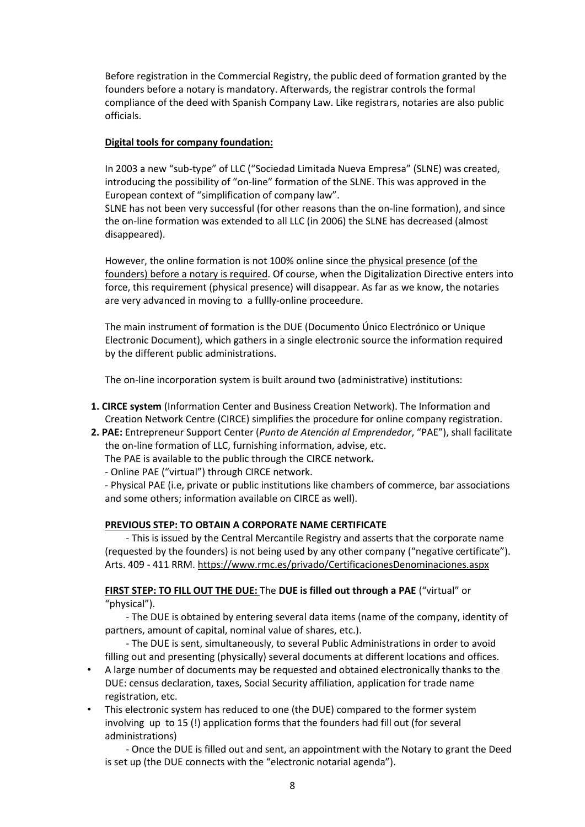Before registration in the Commercial Registry, the public deed of formation granted by the founders before a notary is mandatory. Afterwards, the registrar controls the formal compliance of the deed with Spanish Company Law. Like registrars, notaries are also public officials.

## **Digital tools for company foundation:**

In 2003 a new "sub-type" of LLC ("Sociedad Limitada Nueva Empresa" (SLNE) was created, introducing the possibility of "on-line" formation of the SLNE. This was approved in the European context of "simplification of company law".

SLNE has not been very successful (for other reasons than the on-line formation), and since the on-line formation was extended to all LLC (in 2006) the SLNE has decreased (almost disappeared).

However, the online formation is not 100% online since the physical presence (of the founders) before a notary is required. Of course, when the Digitalization Directive enters into force, this requirement (physical presence) will disappear. As far as we know, the notaries are very advanced in moving to a fullly-online proceedure.

The main instrument of formation is the DUE (Documento Único Electrónico or Unique Electronic Document), which gathers in a single electronic source the information required by the different public administrations.

The on-line incorporation system is built around two (administrative) institutions:

- **1. CIRCE system** (Information Center and Business Creation Network). The Information and Creation Network Centre (CIRCE) simplifies the procedure for online company registration.
- **2. PAE:** Entrepreneur Support Center (*Punto de Atención al Emprendedor*, "PAE"), shall facilitate the on-line formation of LLC, furnishing information, advise, etc.

The PAE is available to the public through the CIRCE network**.**

- Online PAE ("virtual") through CIRCE network.

- Physical PAE (i.e, private or public institutions like chambers of commerce, bar associations and some others; information available on CIRCE as well).

# **PREVIOUS STEP: TO OBTAIN A CORPORATE NAME CERTIFICATE**

- This is issued by the Central Mercantile Registry and asserts that the corporate name (requested by the founders) is not being used by any other company ("negative certificate"). Arts. 409 - 411 RRM.<https://www.rmc.es/privado/CertificacionesDenominaciones.aspx>

# **FIRST STEP: TO FILL OUT THE DUE:** The **DUE is filled out through a PAE** ("virtual" or "physical").

- The DUE is obtained by entering several data items (name of the company, identity of partners, amount of capital, nominal value of shares, etc.).

- The DUE is sent, simultaneously, to several Public Administrations in order to avoid filling out and presenting (physically) several documents at different locations and offices.

- A large number of documents may be requested and obtained electronically thanks to the DUE: census declaration, taxes, Social Security affiliation, application for trade name registration, etc.
- This electronic system has reduced to one (the DUE) compared to the former system involving up to 15 (!) application forms that the founders had fill out (for several administrations)
	- Once the DUE is filled out and sent, an appointment with the Notary to grant the Deed is set up (the DUE connects with the "electronic notarial agenda").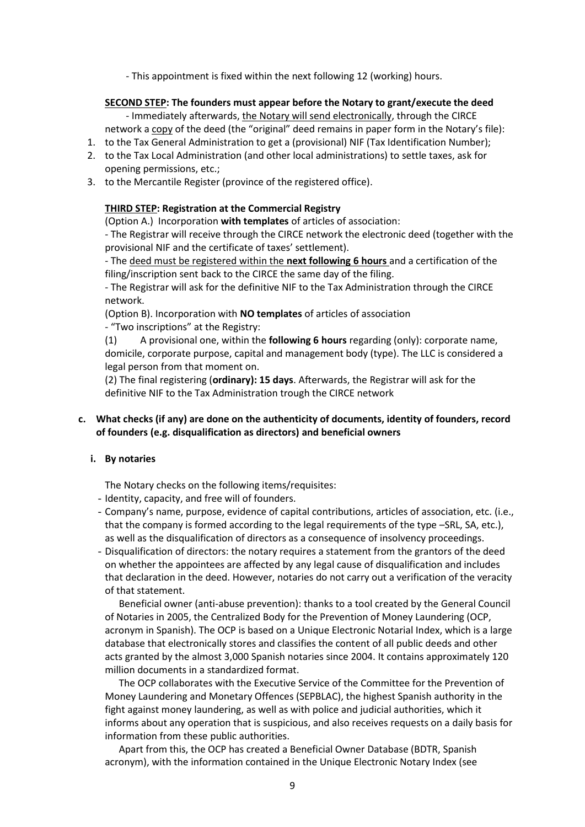- This appointment is fixed within the next following 12 (working) hours.

#### **SECOND STEP: The founders must appear before the Notary to grant/execute the deed**

- Immediately afterwards, the Notary will send electronically, through the CIRCE network a copy of the deed (the "original" deed remains in paper form in the Notary's file):

- 1. to the Tax General Administration to get a (provisional) NIF (Tax Identification Number);
- 2. to the Tax Local Administration (and other local administrations) to settle taxes, ask for opening permissions, etc.;
- 3. to the Mercantile Register (province of the registered office).

## **THIRD STEP: Registration at the Commercial Registry**

(Option A.) Incorporation **with templates** of articles of association:

- The Registrar will receive through the CIRCE network the electronic deed (together with the provisional NIF and the certificate of taxes' settlement).

- The deed must be registered within the **next following 6 hours** and a certification of the filing/inscription sent back to the CIRCE the same day of the filing.

- The Registrar will ask for the definitive NIF to the Tax Administration through the CIRCE network.

(Option B). Incorporation with **NO templates** of articles of association

- "Two inscriptions" at the Registry:

(1) A provisional one, within the **following 6 hours** regarding (only): corporate name, domicile, corporate purpose, capital and management body (type). The LLC is considered a legal person from that moment on.

(2) The final registering (**ordinary): 15 days**. Afterwards, the Registrar will ask for the definitive NIF to the Tax Administration trough the CIRCE network

## **c. What checks (if any) are done on the authenticity of documents, identity of founders, record of founders (e.g. disqualification as directors) and beneficial owners**

#### **i. By notaries**

The Notary checks on the following items/requisites:

- Identity, capacity, and free will of founders.
- Company's name, purpose, evidence of capital contributions, articles of association, etc. (i.e., that the company is formed according to the legal requirements of the type –SRL, SA, etc.), as well as the disqualification of directors as a consequence of insolvency proceedings.
- Disqualification of directors: the notary requires a statement from the grantors of the deed on whether the appointees are affected by any legal cause of disqualification and includes that declaration in the deed. However, notaries do not carry out a verification of the veracity of that statement.

Beneficial owner (anti-abuse prevention): thanks to a tool created by the General Council of Notaries in 2005, the Centralized Body for the Prevention of Money Laundering (OCP, acronym in Spanish). The OCP is based on a Unique Electronic Notarial Index, which is a large database that electronically stores and classifies the content of all public deeds and other acts granted by the almost 3,000 Spanish notaries since 2004. It contains approximately 120 million documents in a standardized format.

The OCP collaborates with the Executive Service of the Committee for the Prevention of Money Laundering and Monetary Offences (SEPBLAC), the highest Spanish authority in the fight against money laundering, as well as with police and judicial authorities, which it informs about any operation that is suspicious, and also receives requests on a daily basis for information from these public authorities.

Apart from this, the OCP has created a Beneficial Owner Database (BDTR, Spanish acronym), with the information contained in the Unique Electronic Notary Index (see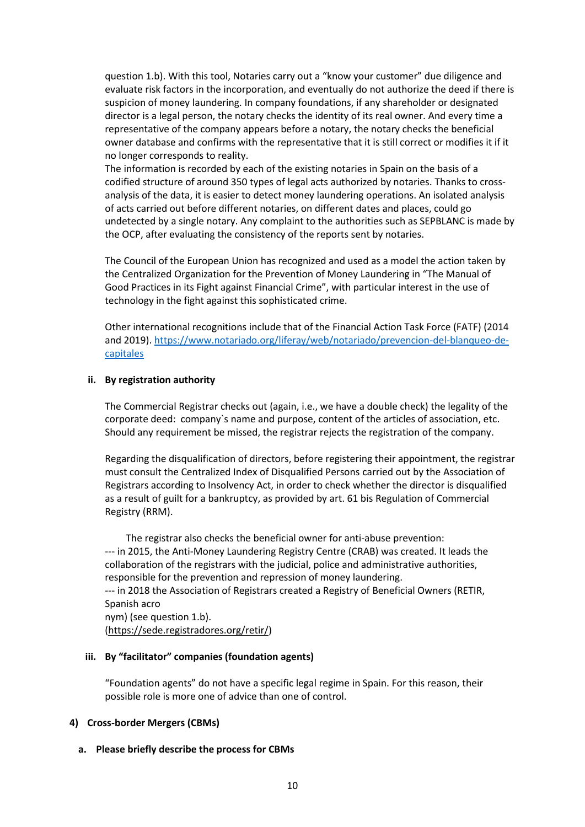question 1.b). With this tool, Notaries carry out a "know your customer" due diligence and evaluate risk factors in the incorporation, and eventually do not authorize the deed if there is suspicion of money laundering. In company foundations, if any shareholder or designated director is a legal person, the notary checks the identity of its real owner. And every time a representative of the company appears before a notary, the notary checks the beneficial owner database and confirms with the representative that it is still correct or modifies it if it no longer corresponds to reality.

The information is recorded by each of the existing notaries in Spain on the basis of a codified structure of around 350 types of legal acts authorized by notaries. Thanks to crossanalysis of the data, it is easier to detect money laundering operations. An isolated analysis of acts carried out before different notaries, on different dates and places, could go undetected by a single notary. Any complaint to the authorities such as SEPBLANC is made by the OCP, after evaluating the consistency of the reports sent by notaries.

The Council of the European Union has recognized and used as a model the action taken by the Centralized Organization for the Prevention of Money Laundering in "The Manual of Good Practices in its Fight against Financial Crime", with particular interest in the use of technology in the fight against this sophisticated crime.

Other international recognitions include that of the Financial Action Task Force (FATF) (2014 and 2019). [https://www.notariado.org/liferay/web/notariado/prevencion-del-blanqueo-de](https://www.notariado.org/liferay/web/notariado/prevencion-del-blanqueo-de-capitales)[capitales](https://www.notariado.org/liferay/web/notariado/prevencion-del-blanqueo-de-capitales)

#### **ii. By registration authority**

The Commercial Registrar checks out (again, i.e., we have a double check) the legality of the corporate deed: company`s name and purpose, content of the articles of association, etc. Should any requirement be missed, the registrar rejects the registration of the company.

Regarding the disqualification of directors, before registering their appointment, the registrar must consult the Centralized Index of Disqualified Persons carried out by the Association of Registrars according to Insolvency Act, in order to check whether the director is disqualified as a result of guilt for a bankruptcy, as provided by art. 61 bis Regulation of Commercial Registry (RRM).

The registrar also checks the beneficial owner for anti-abuse prevention: --- in 2015, the Anti-Money Laundering Registry Centre (CRAB) was created. It leads the collaboration of the registrars with the judicial, police and administrative authorities, responsible for the prevention and repression of money laundering. --- in 2018 the Association of Registrars created a Registry of Beneficial Owners (RETIR, Spanish acro nym) (see question 1.b).

[\(https://sede.registradores.org/retir/\)](https://sede.registradores.org/retir/)

#### **iii. By "facilitator" companies (foundation agents)**

"Foundation agents" do not have a specific legal regime in Spain. For this reason, their possible role is more one of advice than one of control.

#### **4) Cross-border Mergers (CBMs)**

#### **a. Please briefly describe the process for CBMs**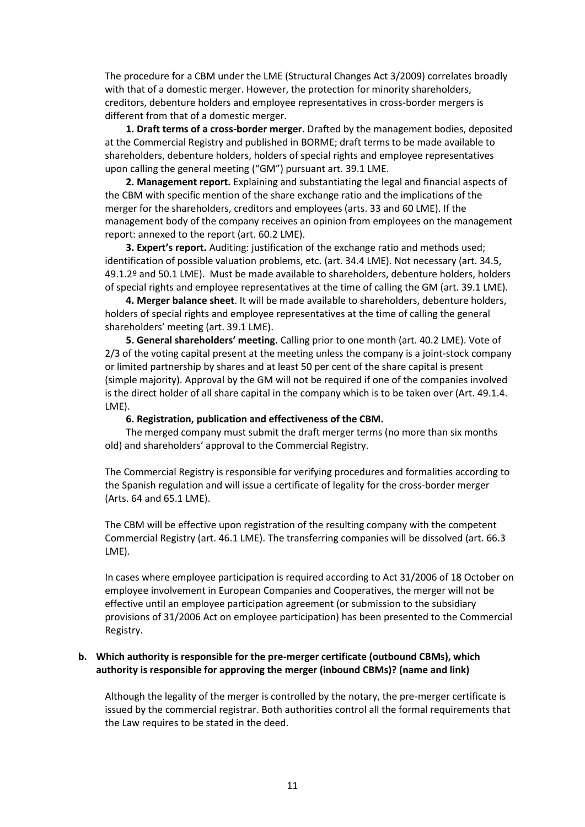The procedure for a CBM under the LME (Structural Changes Act 3/2009) correlates broadly with that of a domestic merger. However, the protection for minority shareholders, creditors, debenture holders and employee representatives in cross-border mergers is different from that of a domestic merger.

**1. Draft terms of a cross-border merger.** Drafted by the management bodies, deposited at the Commercial Registry and published in BORME; draft terms to be made available to shareholders, debenture holders, holders of special rights and employee representatives upon calling the general meeting ("GM") pursuant art. 39.1 LME.

**2. Management report.** Explaining and substantiating the legal and financial aspects of the CBM with specific mention of the share exchange ratio and the implications of the merger for the shareholders, creditors and employees (arts. 33 and 60 LME). If the management body of the company receives an opinion from employees on the management report: annexed to the report (art. 60.2 LME).

**3. Expert's report.** Auditing: justification of the exchange ratio and methods used; identification of possible valuation problems, etc. (art. 34.4 LME). Not necessary (art. 34.5, 49.1.2º and 50.1 LME). Must be made available to shareholders, debenture holders, holders of special rights and employee representatives at the time of calling the GM (art. 39.1 LME).

**4. Merger balance sheet**. It will be made available to shareholders, debenture holders, holders of special rights and employee representatives at the time of calling the general shareholders' meeting (art. 39.1 LME).

**5. General shareholders' meeting.** Calling prior to one month (art. 40.2 LME). Vote of 2/3 of the voting capital present at the meeting unless the company is a joint-stock company or limited partnership by shares and at least 50 per cent of the share capital is present (simple majority). Approval by the GM will not be required if one of the companies involved is the direct holder of all share capital in the company which is to be taken over (Art. 49.1.4. LME).

#### **6. Registration, publication and effectiveness of the CBM.**

The merged company must submit the draft merger terms (no more than six months old) and shareholders' approval to the Commercial Registry.

The Commercial Registry is responsible for verifying procedures and formalities according to the Spanish regulation and will issue a certificate of legality for the cross-border merger (Arts. 64 and 65.1 LME).

The CBM will be effective upon registration of the resulting company with the competent Commercial Registry (art. 46.1 LME). The transferring companies will be dissolved (art. 66.3 LME).

In cases where employee participation is required according to Act 31/2006 of 18 October on employee involvement in European Companies and Cooperatives, the merger will not be effective until an employee participation agreement (or submission to the subsidiary provisions of 31/2006 Act on employee participation) has been presented to the Commercial Registry.

#### **b. Which authority is responsible for the pre-merger certificate (outbound CBMs), which authority is responsible for approving the merger (inbound CBMs)? (name and link)**

Although the legality of the merger is controlled by the notary, the pre-merger certificate is issued by the commercial registrar. Both authorities control all the formal requirements that the Law requires to be stated in the deed.